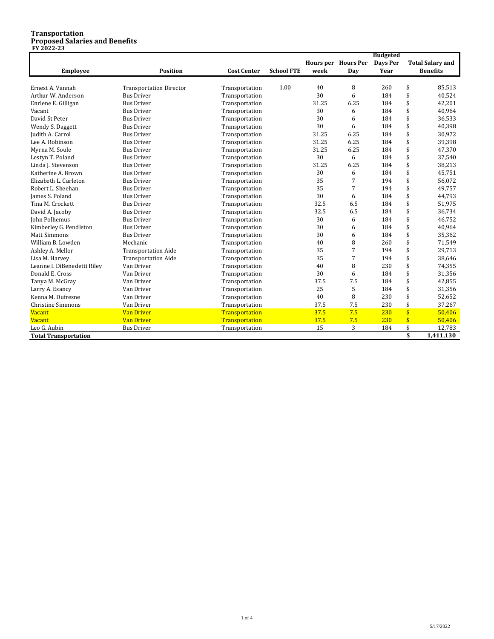#### **Transportation Proposed Salaries and Benefits FY 2022-23**

|                             |                                |                    |                   |       | <b>Budgeted</b>     |          |                         |                         |
|-----------------------------|--------------------------------|--------------------|-------------------|-------|---------------------|----------|-------------------------|-------------------------|
|                             |                                |                    |                   |       | Hours per Hours Per | Days Per |                         | <b>Total Salary and</b> |
| <b>Employee</b>             | <b>Position</b>                | <b>Cost Center</b> | <b>School FTE</b> | week  | Day                 | Year     |                         | <b>Benefits</b>         |
|                             |                                |                    |                   |       |                     |          |                         |                         |
| Ernest A. Vannah            | <b>Transportation Director</b> | Transportation     | 1.00              | 40    | 8                   | 260      | \$                      | 85,513                  |
| Arthur W. Anderson          | <b>Bus Driver</b>              | Transportation     |                   | 30    | 6                   | 184      | \$                      | 40,524                  |
| Darlene E. Gilligan         | <b>Bus Driver</b>              | Transportation     |                   | 31.25 | 6.25                | 184      | \$                      | 42,201                  |
| Vacant                      | <b>Bus Driver</b>              | Transportation     |                   | 30    | 6                   | 184      | \$                      | 40,964                  |
| David St Peter              | <b>Bus Driver</b>              | Transportation     |                   | 30    | 6                   | 184      | \$                      | 36,533                  |
| Wendy S. Daggett            | <b>Bus Driver</b>              | Transportation     |                   | 30    | 6                   | 184      | \$                      | 40,398                  |
| Judith A. Carrol            | <b>Bus Driver</b>              | Transportation     |                   | 31.25 | 6.25                | 184      | \$                      | 30,972                  |
| Lee A. Robinson             | <b>Bus Driver</b>              | Transportation     |                   | 31.25 | 6.25                | 184      | \$                      | 39,398                  |
| Myrna M. Soule              | <b>Bus Driver</b>              | Transportation     |                   | 31.25 | 6.25                | 184      | \$                      | 47,370                  |
| Lestyn T. Poland            | <b>Bus Driver</b>              | Transportation     |                   | 30    | 6                   | 184      | \$                      | 37,540                  |
| Linda J. Stevenson          | <b>Bus Driver</b>              | Transportation     |                   | 31.25 | 6.25                | 184      | \$                      | 38,213                  |
| Katherine A. Brown          | <b>Bus Driver</b>              | Transportation     |                   | 30    | 6                   | 184      | \$                      | 45,751                  |
| Elizabeth L. Carleton       | <b>Bus Driver</b>              | Transportation     |                   | 35    | 7                   | 194      | \$                      | 56,072                  |
| Robert L. Sheehan           | <b>Bus Driver</b>              | Transportation     |                   | 35    | 7                   | 194      | \$                      | 49,757                  |
| James S. Poland             | <b>Bus Driver</b>              | Transportation     |                   | 30    | 6                   | 184      | \$                      | 44,793                  |
| Tina M. Crockett            | <b>Bus Driver</b>              | Transportation     |                   | 32.5  | 6.5                 | 184      | \$                      | 51,975                  |
| David A. Jacoby             | <b>Bus Driver</b>              | Transportation     |                   | 32.5  | 6.5                 | 184      | \$                      | 36,734                  |
| <b>John Polhemus</b>        | <b>Bus Driver</b>              | Transportation     |                   | 30    | 6                   | 184      | \$                      | 46,752                  |
| Kimberley G. Pendleton      | <b>Bus Driver</b>              | Transportation     |                   | 30    | 6                   | 184      | \$                      | 40,964                  |
| <b>Matt Simmons</b>         | <b>Bus Driver</b>              | Transportation     |                   | 30    | 6                   | 184      | \$                      | 35,362                  |
| William B. Lowden           | Mechanic                       | Transportation     |                   | 40    | 8                   | 260      | \$                      | 71,549                  |
| Ashley A. Mellor            | <b>Transportation Aide</b>     | Transportation     |                   | 35    | 7                   | 194      | \$                      | 29,713                  |
| Lisa M. Harvey              | <b>Transportation Aide</b>     | Transportation     |                   | 35    | 7                   | 194      | \$                      | 38,646                  |
| Leanne I. DiBenedetti Riley | Van Driver                     | Transportation     |                   | 40    | 8                   | 230      | \$                      | 74,355                  |
| Donald E. Cross             | Van Driver                     | Transportation     |                   | 30    | 6                   | 184      | \$                      | 31,356                  |
| Tanya M. McGray             | Van Driver                     | Transportation     |                   | 37.5  | 7.5                 | 184      | \$                      | 42,855                  |
| Larry A. Esancy             | Van Driver                     | Transportation     |                   | 25    | 5                   | 184      | \$                      | 31,356                  |
| Kenna M. Dufresne           | Van Driver                     | Transportation     |                   | 40    | 8                   | 230      | \$                      | 52,652                  |
| <b>Christine Simmons</b>    | Van Driver                     | Transportation     |                   | 37.5  | 7.5                 | 230      | \$                      | 37,267                  |
| <b>Vacant</b>               | <b>Van Driver</b>              | Transportation     |                   | 37.5  | 7.5                 | 230      | $\overline{\mathbf{s}}$ | 50,406                  |
| <b>Vacant</b>               | <b>Van Driver</b>              | Transportation     |                   | 37.5  | 7.5                 | 230      | $\sqrt{3}$              | 50,406                  |
| Leo G. Aubin                | <b>Bus Driver</b>              | Transportation     |                   | 15    | 3                   | 184      | \$                      | 12,783                  |
| <b>Total Transportation</b> |                                |                    |                   |       |                     |          | \$                      | 1,411,130               |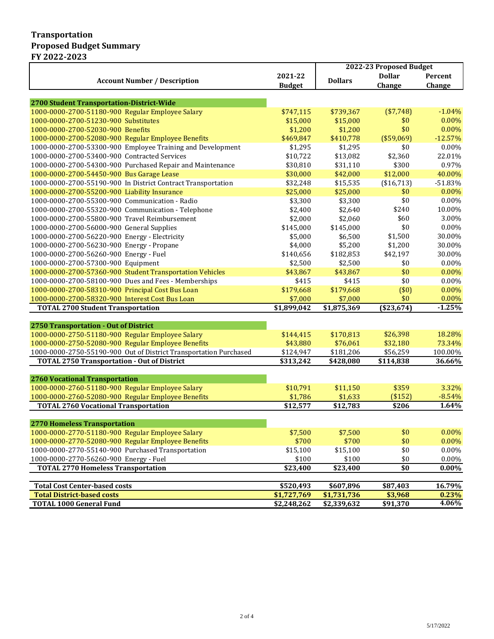#### **Transportation Proposed Budget Summary FY 2022-2023**

|                                                                   |                         | 2022-23 Proposed Budget |               |           |
|-------------------------------------------------------------------|-------------------------|-------------------------|---------------|-----------|
|                                                                   | 2021-22                 | <b>Dollars</b>          | <b>Dollar</b> | Percent   |
| <b>Account Number / Description</b>                               | <b>Budget</b>           |                         | Change        | Change    |
|                                                                   |                         |                         |               |           |
| 2700 Student Transportation-District-Wide                         |                         |                         |               |           |
| 1000-0000-2700-51180-900 Regular Employee Salary                  | \$747,115               | \$739,367               | (\$7,748)     | $-1.04%$  |
| 1000-0000-2700-51230-900 Substitutes                              | \$15,000                | \$15,000                | \$0           | 0.00%     |
| 1000-0000-2700-52030-900 Benefits                                 | \$1,200                 | \$1,200                 | \$0           | 0.00%     |
| 1000-0000-2700-52080-900 Regular Employee Benefits                | \$469,847               | \$410,778               | (\$59,069)    | $-12.57%$ |
| 1000-0000-2700-53300-900 Employee Training and Development        | \$1,295                 | \$1,295                 | \$0           | 0.00%     |
| 1000-0000-2700-53400-900 Contracted Services                      | \$10,722                | \$13,082                | \$2,360       | 22.01%    |
| 1000-0000-2700-54300-900 Purchased Repair and Maintenance         | \$30,810                | \$31,110                | \$300         | 0.97%     |
| 1000-0000-2700-54450-900 Bus Garage Lease                         | \$30,000                | \$42,000                | \$12,000      | 40.00%    |
| 1000-0000-2700-55190-900 In District Contract Transportation      | \$32,248                | \$15,535                | (\$16,713)    | $-51.83%$ |
| 1000-0000-2700-55200-900 Liability Insurance                      | \$25,000                | \$25,000                | \$0           | 0.00%     |
| 1000-0000-2700-55300-900 Communication - Radio                    | \$3,300                 | \$3,300                 | \$0           | $0.00\%$  |
| 1000-0000-2700-55320-900 Communication - Telephone                | \$2,400                 | \$2,640                 | \$240         | 10.00%    |
| 1000-0000-2700-55800-900 Travel Reimbursement                     | \$2,000                 | \$2,060                 | \$60          | 3.00%     |
| 1000-0000-2700-56000-900 General Supplies                         | \$145,000               | \$145,000               | \$0           | 0.00%     |
| 1000-0000-2700-56220-900 Energy - Electricity                     | \$5,000                 | \$6,500                 | \$1,500       | 30.00%    |
| 1000-0000-2700-56230-900 Energy - Propane                         | \$4,000                 | \$5,200                 | \$1,200       | 30.00%    |
| 1000-0000-2700-56260-900 Energy - Fuel                            | \$140,656               | \$182,853               | \$42,197      | 30.00%    |
| 1000-0000-2700-57300-900 Equipment                                | \$2,500                 | \$2,500                 | \$0           | 0.00%     |
| 1000-0000-2700-57360-900 Student Transportation Vehicles          | \$43,867                | \$43,867                | \$0           | 0.00%     |
| 1000-0000-2700-58100-900 Dues and Fees - Memberships              | \$415                   | \$415                   | \$0           | 0.00%     |
|                                                                   |                         |                         |               |           |
| 1000-0000-2700-58310-900 Principal Cost Bus Loan                  | \$179,668               | \$179,668               | (\$0)         | 0.00%     |
| 1000-0000-2700-58320-900 Interest Cost Bus Loan                   | \$7,000                 | \$7,000                 | \$0           | 0.00%     |
| <b>TOTAL 2700 Student Transportation</b>                          | $\overline{$1,899,042}$ | \$1,875,369             | ( \$23,674]   | $-1.25%$  |
|                                                                   |                         |                         |               |           |
| 2750 Transportation - Out of District                             |                         |                         |               |           |
| 1000-0000-2750-51180-900 Regular Employee Salary                  | \$144,415               | \$170,813               | \$26,398      | 18.28%    |
| 1000-0000-2750-52080-900 Regular Employee Benefits                | \$43,880                | \$76,061                | \$32,180      | 73.34%    |
| 1000-0000-2750-55190-900 Out of District Transportation Purchased | \$124,947               | \$181,206               | \$56,259      | 100.00%   |
| <b>TOTAL 2750 Transportation - Out of District</b>                | \$313,242               | \$428,080               | \$114,838     | 36.66%    |
|                                                                   |                         |                         |               |           |
| <b>2760 Vocational Transportation</b>                             |                         |                         |               |           |
| 1000-0000-2760-51180-900 Regular Employee Salary                  | \$10,791                | \$11,150                | \$359         | 3.32%     |
| 1000-0000-2760-52080-900 Regular Employee Benefits                | \$1,786                 | \$1,633                 | (\$152)       | $-8.54%$  |
| <b>TOTAL 2760 Vocational Transportation</b>                       | \$12,577                | \$12,783                | \$206         | 1.64%     |
|                                                                   |                         |                         |               |           |
| <b>2770 Homeless Transportation</b>                               |                         |                         |               |           |
| 1000-0000-2770-51180-900 Regular Employee Salary                  | \$7,500                 | \$7,500                 | \$0           | 0.00%     |
| 1000-0000-2770-52080-900 Regular Employee Benefits                | \$700                   | \$700                   | \$0           | 0.00%     |
| 1000-0000-2770-55140-900 Purchased Transportation                 | \$15,100                | \$15,100                | \$0           | 0.00%     |
| 1000-0000-2770-56260-900 Energy - Fuel                            | \$100                   | \$100                   | \$0           | 0.00%     |
| <b>TOTAL 2770 Homeless Transportation</b>                         | \$23,400                | \$23,400                | \$0           | $0.00\%$  |
|                                                                   |                         |                         |               |           |
| <b>Total Cost Center-based costs</b>                              | \$520,493               | \$607,896               | \$87,403      | 16.79%    |
| <b>Total District-based costs</b>                                 | \$1,727,769             | \$1,731,736             | \$3,968       | 0.23%     |
| <b>TOTAL 1000 General Fund</b>                                    | \$2,248,262             | \$2,339,632             | \$91,370      | 4.06%     |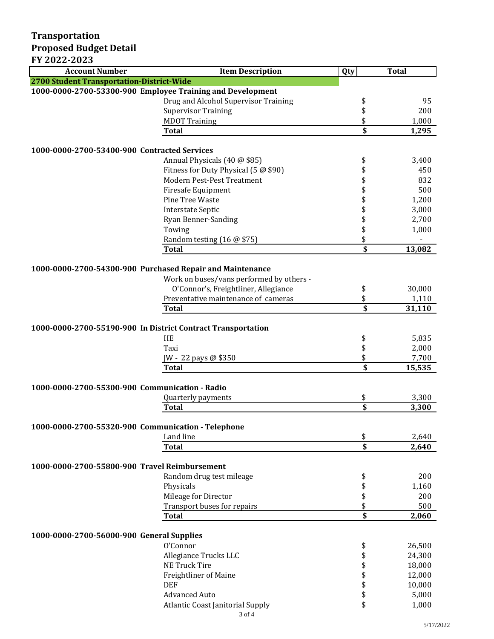## **Transportation Proposed Budget Detail**

### **FY 2022-2023**

| <b>Account Number</b>                                        | <b>Item Description</b>                      | Qty                     | <b>Total</b> |  |  |  |
|--------------------------------------------------------------|----------------------------------------------|-------------------------|--------------|--|--|--|
| 2700 Student Transportation-District-Wide                    |                                              |                         |              |  |  |  |
| 1000-0000-2700-53300-900 Employee Training and Development   |                                              |                         |              |  |  |  |
|                                                              | Drug and Alcohol Supervisor Training         | \$                      | 95           |  |  |  |
|                                                              | <b>Supervisor Training</b>                   | \$                      | 200          |  |  |  |
|                                                              | <b>MDOT Training</b>                         | \$                      | 1,000        |  |  |  |
|                                                              | <b>Total</b>                                 | \$                      | 1,295        |  |  |  |
|                                                              |                                              |                         |              |  |  |  |
|                                                              | 1000-0000-2700-53400-900 Contracted Services |                         |              |  |  |  |
|                                                              | Annual Physicals (40 @ \$85)                 | \$                      | 3,400        |  |  |  |
|                                                              | Fitness for Duty Physical (5 @ \$90)         | \$                      | 450          |  |  |  |
|                                                              | <b>Modern Pest-Pest Treatment</b>            | \$                      | 832          |  |  |  |
|                                                              | Firesafe Equipment                           | \$                      | 500          |  |  |  |
|                                                              | Pine Tree Waste                              | \$                      | 1,200        |  |  |  |
|                                                              | <b>Interstate Septic</b>                     | \$                      | 3,000        |  |  |  |
|                                                              | Ryan Benner-Sanding                          | \$                      | 2,700        |  |  |  |
|                                                              | Towing                                       | \$                      | 1,000        |  |  |  |
|                                                              | Random testing (16 @ \$75)                   | \$                      |              |  |  |  |
|                                                              | <b>Total</b>                                 | \$                      | 13,082       |  |  |  |
| 1000-0000-2700-54300-900 Purchased Repair and Maintenance    |                                              |                         |              |  |  |  |
|                                                              | Work on buses/vans performed by others -     |                         |              |  |  |  |
|                                                              | O'Connor's, Freightliner, Allegiance         | \$                      | 30,000       |  |  |  |
|                                                              | Preventative maintenance of cameras          | \$                      | 1,110        |  |  |  |
|                                                              | <b>Total</b>                                 | \$                      | 31,110       |  |  |  |
|                                                              |                                              |                         |              |  |  |  |
| 1000-0000-2700-55190-900 In District Contract Transportation |                                              |                         |              |  |  |  |
|                                                              | HE                                           | \$                      | 5,835        |  |  |  |
|                                                              | Taxi                                         | \$                      | 2,000        |  |  |  |
|                                                              | JW - 22 pays @ \$350                         | \$                      | 7,700        |  |  |  |
|                                                              | <b>Total</b>                                 | \$                      | 15,535       |  |  |  |
| 1000-0000-2700-55300-900 Communication - Radio               |                                              |                         |              |  |  |  |
|                                                              | Quarterly payments                           | \$                      | 3,300        |  |  |  |
|                                                              | <b>Total</b>                                 | \$                      | 3,300        |  |  |  |
|                                                              |                                              |                         |              |  |  |  |
| 1000-0000-2700-55320-900 Communication - Telephone           |                                              |                         |              |  |  |  |
|                                                              | Land line                                    | \$                      | 2,640        |  |  |  |
|                                                              | <b>Total</b>                                 | $\overline{\mathbf{s}}$ | 2,640        |  |  |  |
|                                                              |                                              |                         |              |  |  |  |
| 1000-0000-2700-55800-900 Travel Reimbursement                |                                              |                         |              |  |  |  |
|                                                              | Random drug test mileage                     | \$                      | 200          |  |  |  |
|                                                              | Physicals                                    | \$                      | 1,160        |  |  |  |
|                                                              | Mileage for Director                         | \$                      | 200          |  |  |  |
|                                                              | Transport buses for repairs                  | \$                      | 500          |  |  |  |
|                                                              | <b>Total</b>                                 | \$                      | 2,060        |  |  |  |
|                                                              |                                              |                         |              |  |  |  |
| 1000-0000-2700-56000-900 General Supplies                    | O'Connor                                     |                         | 26,500       |  |  |  |
|                                                              | Allegiance Trucks LLC                        | \$<br>\$                | 24,300       |  |  |  |
|                                                              | <b>NE Truck Tire</b>                         | \$                      | 18,000       |  |  |  |
|                                                              | <b>Freightliner of Maine</b>                 | \$                      | 12,000       |  |  |  |
|                                                              | <b>DEF</b>                                   | \$                      | 10,000       |  |  |  |
|                                                              | <b>Advanced Auto</b>                         | \$                      | 5,000        |  |  |  |
|                                                              | Atlantic Coast Janitorial Supply             | \$                      | 1,000        |  |  |  |